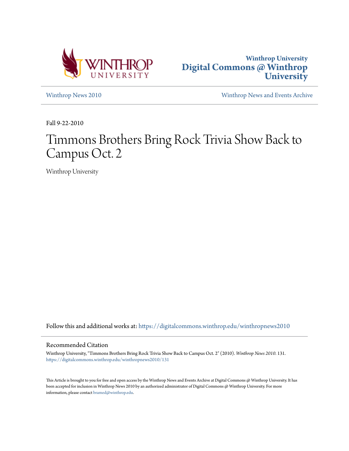



[Winthrop News 2010](https://digitalcommons.winthrop.edu/winthropnews2010?utm_source=digitalcommons.winthrop.edu%2Fwinthropnews2010%2F131&utm_medium=PDF&utm_campaign=PDFCoverPages) [Winthrop News and Events Archive](https://digitalcommons.winthrop.edu/winthropnewsarchives?utm_source=digitalcommons.winthrop.edu%2Fwinthropnews2010%2F131&utm_medium=PDF&utm_campaign=PDFCoverPages)

Fall 9-22-2010

# Timmons Brothers Bring Rock Trivia Show Back to Campus Oct. 2

Winthrop University

Follow this and additional works at: [https://digitalcommons.winthrop.edu/winthropnews2010](https://digitalcommons.winthrop.edu/winthropnews2010?utm_source=digitalcommons.winthrop.edu%2Fwinthropnews2010%2F131&utm_medium=PDF&utm_campaign=PDFCoverPages)

### Recommended Citation

Winthrop University, "Timmons Brothers Bring Rock Trivia Show Back to Campus Oct. 2" (2010). *Winthrop News 2010*. 131. [https://digitalcommons.winthrop.edu/winthropnews2010/131](https://digitalcommons.winthrop.edu/winthropnews2010/131?utm_source=digitalcommons.winthrop.edu%2Fwinthropnews2010%2F131&utm_medium=PDF&utm_campaign=PDFCoverPages)

This Article is brought to you for free and open access by the Winthrop News and Events Archive at Digital Commons @ Winthrop University. It has been accepted for inclusion in Winthrop News 2010 by an authorized administrator of Digital Commons @ Winthrop University. For more information, please contact [bramed@winthrop.edu](mailto:bramed@winthrop.edu).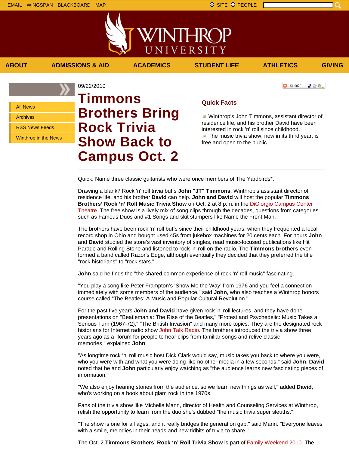「验費」

**C** SHARE

All News

Archives

RSS News Feeds

Winthrop in the News

09/22/2010 **Timmons Brothers Bring Rock Trivia Show Back to Campus Oct. 2**

## **Quick Facts**

**Winthrop's John Timmons, assistant director of** residence life, and his brother David have been interested in rock 'n' roll since childhood.  $\blacksquare$  The music trivia show, now in its third year, is free and open to the public.

Quick: Name three classic guitarists who were once members of The Yardbirds\*.

**ABOUT ADMISSIONS & AID ACADEMICS STUDENT LIFE ATHLETICS GIVING**

WINTHROP

UNIVERSITY

Drawing a blank? Rock 'n' roll trivia buffs **John "JT" Timmons**, Winthrop's assistant director of residence life, and his brother **David** can help. **John and David** will host the popular **Timmons Brothers' Rock 'n' Roll Music Trivia Show** on Oct. 2 at 8 p.m. in the DiGiorgio Campus Center Theatre. The free show is a lively mix of song clips through the decades, questions from categories such as Famous Duos and #1 Songs and skit stumpers like Name the Front Man.

The brothers have been rock 'n' roll buffs since their childhood years, when they frequented a local record shop in Ohio and bought used 45s from jukebox machines for 20 cents each. For hours **John** and **David** studied the store's vast inventory of singles, read music-focused publications like Hit Parade and Rolling Stone and listened to rock 'n' roll on the radio. The **Timmons brothers** even formed a band called Razor's Edge, although eventually they decided that they preferred the title "rock historians" to "rock stars."

**John** said he finds the "the shared common experience of rock 'n' roll music" fascinating.

"You play a song like Peter Frampton's 'Show Me the Way' from 1976 and you feel a connection immediately with some members of the audience," said **John**, who also teaches a Winthrop honors course called "The Beatles: A Music and Popular Cultural Revolution."

For the past five years **John and David** have given rock 'n' roll lectures, and they have done presentations on "Beatlemania: The Rise of the Beatles," "Protest and Psychedelic: Music Takes a Serious Turn (1967-72)," "The British Invasion" and many more topics. They are the designated rock historians for Internet radio show John Talk Radio. The brothers introduced the trivia show three years ago as a "forum for people to hear clips from familiar songs and relive classic memories," explained **John**.

"As longtime rock 'n' roll music host Dick Clark would say, music takes you back to where you were, who you were with and what you were doing like no other media in a few seconds," said **John**. **David** noted that he and **John** particularly enjoy watching as "the audience learns new fascinating pieces of information."

"We also enjoy hearing stories from the audience, so we learn new things as well," added **David**, who's working on a book about glam rock in the 1970s.

Fans of the trivia show like Michelle Mann, director of Health and Counseling Services at Winthrop, relish the opportunity to learn from the duo she's dubbed "the music trivia super sleuths."

"The show is one for all ages, and it really bridges the generation gap," said Mann. "Everyone leaves with a smile, melodies in their heads and new tidbits of trivia to share."

The Oct. 2 **Timmons Brothers' Rock 'n' Roll Trivia Show** is part of Family Weekend 2010. The